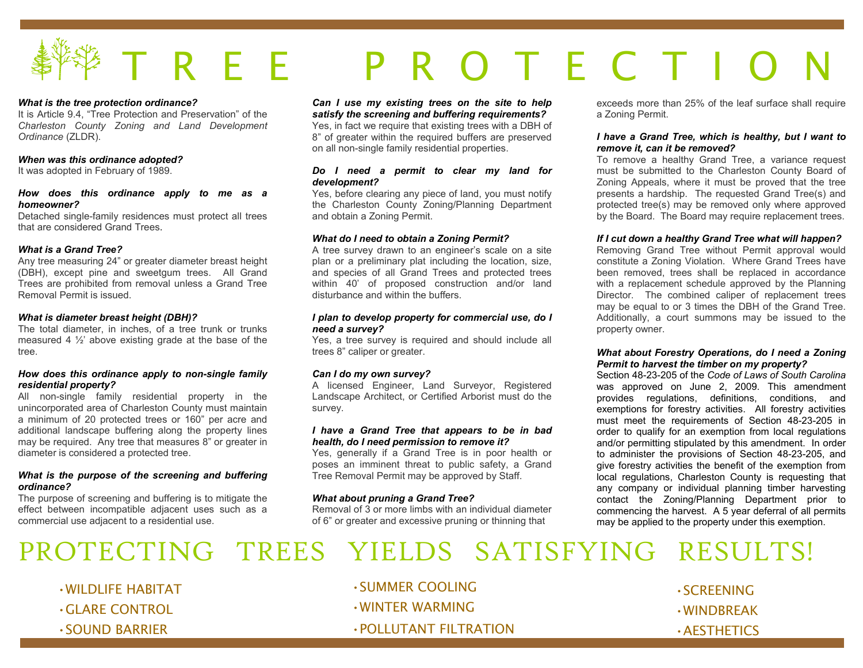## **事<sup>作</sup>学 丁 R**  $R$   $E$   $E$   $P$   $R$   $Q$ R O T E C T I O

#### *What is the tree protection ordinance?*

 It is Article 9.4, "Tree Protection and Preservation" of the *Charleston County Zoning and Land Development Ordinance* (ZLDR).

#### *When was this ordinance adopted?*

It was adopted in February of 1989.

#### *How does this ordinance apply to me as a homeowner?*

 Detached single-family residences must protect all trees that are considered Grand Trees.

#### *What is a Grand Tree?*

 Any tree measuring 24" or greater diameter breast height (DBH), except pine and sweetgum trees. All Grand Trees are prohibited from removal unless a Grand Tree Removal Permit is issued.

#### *What is diameter breast height (DBH)?*

 The total diameter, in inches, of a tree trunk or trunks measured 4  $\frac{1}{2}$  above existing grade at the base of the tree.

#### *How does this ordinance apply to non-single family residential property?*

 All non-single family residential property in the unincorporated area of Charleston County must maintain a minimum of 20 protected trees or 160" per acre and additional landscape buffering along the property lines may be required. Any tree that measures 8" or greater in diameter is considered a protected tree.

#### *What is the purpose of the screening and buffering ordinance?*

 The purpose of screening and buffering is to mitigate the effect between incompatible adjacent uses such as acommercial use adjacent to a residential use.

#### *Can I use my existing trees on the site to help satisfy the screening and buffering requirements?*

 Yes, in fact we require that existing trees with a DBH of 8" of greater within the required buffers are preserved on all non-single family residential properties.

#### *Do I need a permit to clear my land for development?*

 Yes, before clearing any piece of land, you must notify the Charleston County Zoning/Planning Department and obtain a Zoning Permit.

#### *What do I need to obtain a Zoning Permit?*

 A tree survey drawn to an engineer's scale on a site plan or a preliminary plat including the location, size, and species of all Grand Trees and protected trees within 40' of proposed construction and/or land disturbance and within the buffers.

#### *I plan to develop property for commercial use, do Ineed a survey?*

 Yes, a tree survey is required and should include all trees 8" caliper or greater.

#### *Can I do my own survey?*

 A licensed Engineer, Land Surveyor, Registered Landscape Architect, or Certified Arborist must do the survey.

#### *I have a Grand Tree that appears to be in bad health, do I need permission to remove it?*

 Yes, generally if a Grand Tree is in poor health or poses an imminent threat to public safety, a Grand Tree Removal Permit may be approved by Staff.

#### *What about pruning a Grand Tree?*

 Removal of 3 or more limbs with an individual diameter of 6" or greater and excessive pruning or thinning that

exceeds more than 25% of the leaf surface shall require a Zoning Permit.

#### *I have a Grand Tree, which is healthy, but I want to remove it, can it be removed?*

 To remove a healthy Grand Tree, a variance request must be submitted to the Charleston County Board of Zoning Appeals, where it must be proved that the tree presents a hardship. The requested Grand Tree(s) and protected tree(s) may be removed only where approved by the Board. The Board may require replacement trees.

#### *If I cut down a healthy Grand Tree what will happen?*

 Removing Grand Tree without Permit approval would constitute a Zoning Violation. Where Grand Trees have been removed, trees shall be replaced in accordance with a replacement schedule approved by the Planning Director. The combined caliper of replacement trees may be equal to or 3 times the DBH of the Grand Tree. Additionally, a court summons may be issued to the property owner.

#### *What about Forestry Operations, do I need a Zoning Permit to harvest the timber on my property?*

 Section 48-23-205 of the *Code of Laws of South Carolina* was approved on June 2, 2009. This amendment provides regulations, definitions, conditions, and exemptions for forestry activities. All forestry activities must meet the requirements of Section 48-23-205 in order to qualify for an exemption from local regulations and/or permitting stipulated by this amendment. In order to administer the provisions of Section 48-23-205, and give forestry activities the benefit of the exemption from local regulations, Charleston County is requesting that any company or individual planning timber harvesting contact the Zoning/Planning Department prior to commencing the harvest. A 5 year deferral of all permits may be applied to the property under this exemption.

## PROTECTING TREES YIELDS SATISFYING RESULTS!

•WILDLIFE HABITAT

•GLARE CONTROL

•SOUND BARRIER

•SUMMER COOLING •WINTER WARMING •POLLUTANT FILTRATION

•SCREENING •WINDBREAK •AESTHETICS